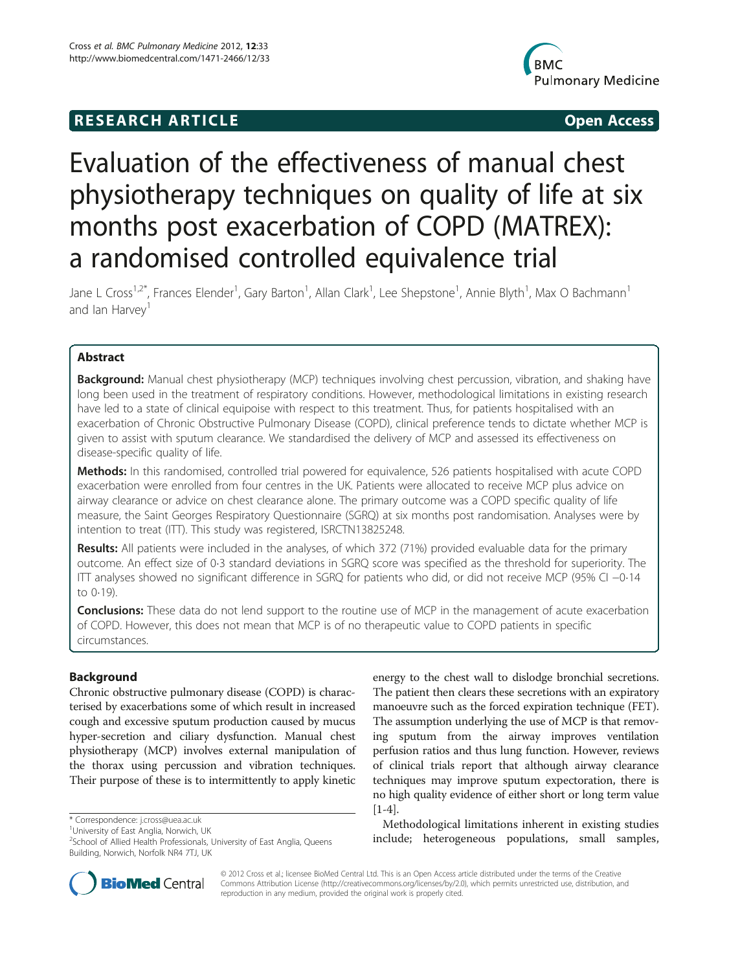## **RESEARCH ARTICLE Example 2014 Open Access**



# Evaluation of the effectiveness of manual chest physiotherapy techniques on quality of life at six months post exacerbation of COPD (MATREX): a randomised controlled equivalence trial

Jane L Cross<sup>1,2\*</sup>, Frances Elender<sup>1</sup>, Gary Barton<sup>1</sup>, Allan Clark<sup>1</sup>, Lee Shepstone<sup>1</sup>, Annie Blyth<sup>1</sup>, Max O Bachmann<sup>1</sup> and Ian Harvey<sup>1</sup>

## Abstract

Background: Manual chest physiotherapy (MCP) techniques involving chest percussion, vibration, and shaking have long been used in the treatment of respiratory conditions. However, methodological limitations in existing research have led to a state of clinical equipoise with respect to this treatment. Thus, for patients hospitalised with an exacerbation of Chronic Obstructive Pulmonary Disease (COPD), clinical preference tends to dictate whether MCP is given to assist with sputum clearance. We standardised the delivery of MCP and assessed its effectiveness on disease-specific quality of life.

Methods: In this randomised, controlled trial powered for equivalence, 526 patients hospitalised with acute COPD exacerbation were enrolled from four centres in the UK. Patients were allocated to receive MCP plus advice on airway clearance or advice on chest clearance alone. The primary outcome was a COPD specific quality of life measure, the Saint Georges Respiratory Questionnaire (SGRQ) at six months post randomisation. Analyses were by intention to treat (ITT). This study was registered, ISRCTN13825248.

Results: All patients were included in the analyses, of which 372 (71%) provided evaluable data for the primary outcome. An effect size of 03 standard deviations in SGRQ score was specified as the threshold for superiority. The ITT analyses showed no significant difference in SGRQ for patients who did, or did not receive MCP (95% CI −014 to  $0.19$ ).

**Conclusions:** These data do not lend support to the routine use of MCP in the management of acute exacerbation of COPD. However, this does not mean that MCP is of no therapeutic value to COPD patients in specific circumstances.

## Background

Chronic obstructive pulmonary disease (COPD) is characterised by exacerbations some of which result in increased cough and excessive sputum production caused by mucus hyper-secretion and ciliary dysfunction. Manual chest physiotherapy (MCP) involves external manipulation of the thorax using percussion and vibration techniques. Their purpose of these is to intermittently to apply kinetic

\* Correspondence: [j.cross@uea.ac.uk](mailto:j.cross@uea.ac.uk) <sup>1</sup>

University of East Anglia, Norwich, UK

energy to the chest wall to dislodge bronchial secretions. The patient then clears these secretions with an expiratory manoeuvre such as the forced expiration technique (FET). The assumption underlying the use of MCP is that removing sputum from the airway improves ventilation perfusion ratios and thus lung function. However, reviews of clinical trials report that although airway clearance techniques may improve sputum expectoration, there is no high quality evidence of either short or long term value [[1-4](#page-7-0)].

Methodological limitations inherent in existing studies include; heterogeneous populations, small samples,



© 2012 Cross et al.; licensee BioMed Central Ltd. This is an Open Access article distributed under the terms of the Creative Commons Attribution License [\(http://creativecommons.org/licenses/by/2.0\)](http://creativecommons.org/licenses/by/2.0), which permits unrestricted use, distribution, and reproduction in any medium, provided the original work is properly cited.

<sup>&</sup>lt;sup>2</sup>School of Allied Health Professionals, University of East Anglia, Queens Building, Norwich, Norfolk NR4 7TJ, UK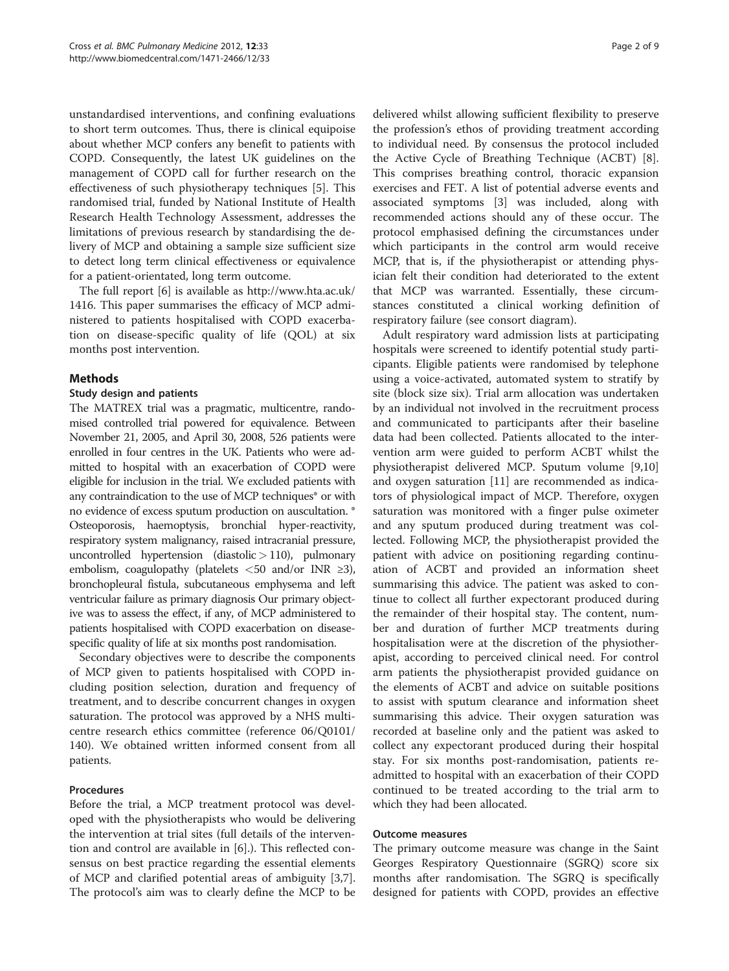unstandardised interventions, and confining evaluations to short term outcomes. Thus, there is clinical equipoise about whether MCP confers any benefit to patients with COPD. Consequently, the latest UK guidelines on the management of COPD call for further research on the effectiveness of such physiotherapy techniques [\[5](#page-7-0)]. This randomised trial, funded by National Institute of Health Research Health Technology Assessment, addresses the limitations of previous research by standardising the delivery of MCP and obtaining a sample size sufficient size to detect long term clinical effectiveness or equivalence for a patient-orientated, long term outcome.

The full report [[6\]](#page-7-0) is available as [http://www.hta.ac.uk/](http://www.hta.ac.uk/1416) [1416](http://www.hta.ac.uk/1416). This paper summarises the efficacy of MCP administered to patients hospitalised with COPD exacerbation on disease-specific quality of life (QOL) at six months post intervention.

## Methods

## Study design and patients

The MATREX trial was a pragmatic, multicentre, randomised controlled trial powered for equivalence. Between November 21, 2005, and April 30, 2008, 526 patients were enrolled in four centres in the UK. Patients who were admitted to hospital with an exacerbation of COPD were eligible for inclusion in the trial. We excluded patients with any contraindication to the use of MCP techniques\* or with no evidence of excess sputum production on auscultation. \* Osteoporosis, haemoptysis, bronchial hyper-reactivity, respiratory system malignancy, raised intracranial pressure, uncontrolled hypertension (diastolic  $> 110$ ), pulmonary embolism, coagulopathy (platelets <50 and/or INR ≥3), bronchopleural fistula, subcutaneous emphysema and left ventricular failure as primary diagnosis Our primary objective was to assess the effect, if any, of MCP administered to patients hospitalised with COPD exacerbation on diseasespecific quality of life at six months post randomisation.

Secondary objectives were to describe the components of MCP given to patients hospitalised with COPD including position selection, duration and frequency of treatment, and to describe concurrent changes in oxygen saturation. The protocol was approved by a NHS multicentre research ethics committee (reference 06/Q0101/ 140). We obtained written informed consent from all patients.

## Procedures

Before the trial, a MCP treatment protocol was developed with the physiotherapists who would be delivering the intervention at trial sites (full details of the intervention and control are available in [\[6\]](#page-7-0).). This reflected consensus on best practice regarding the essential elements of MCP and clarified potential areas of ambiguity [\[3,7](#page-7-0)]. The protocol's aim was to clearly define the MCP to be

delivered whilst allowing sufficient flexibility to preserve the profession's ethos of providing treatment according to individual need. By consensus the protocol included the Active Cycle of Breathing Technique (ACBT) [\[8](#page-7-0)]. This comprises breathing control, thoracic expansion exercises and FET. A list of potential adverse events and associated symptoms [[3\]](#page-7-0) was included, along with recommended actions should any of these occur. The protocol emphasised defining the circumstances under which participants in the control arm would receive MCP, that is, if the physiotherapist or attending physician felt their condition had deteriorated to the extent that MCP was warranted. Essentially, these circumstances constituted a clinical working definition of respiratory failure (see consort diagram).

Adult respiratory ward admission lists at participating hospitals were screened to identify potential study participants. Eligible patients were randomised by telephone using a voice-activated, automated system to stratify by site (block size six). Trial arm allocation was undertaken by an individual not involved in the recruitment process and communicated to participants after their baseline data had been collected. Patients allocated to the intervention arm were guided to perform ACBT whilst the physiotherapist delivered MCP. Sputum volume [[9](#page-7-0),[10](#page-7-0)] and oxygen saturation [[11](#page-7-0)] are recommended as indicators of physiological impact of MCP. Therefore, oxygen saturation was monitored with a finger pulse oximeter and any sputum produced during treatment was collected. Following MCP, the physiotherapist provided the patient with advice on positioning regarding continuation of ACBT and provided an information sheet summarising this advice. The patient was asked to continue to collect all further expectorant produced during the remainder of their hospital stay. The content, number and duration of further MCP treatments during hospitalisation were at the discretion of the physiotherapist, according to perceived clinical need. For control arm patients the physiotherapist provided guidance on the elements of ACBT and advice on suitable positions to assist with sputum clearance and information sheet summarising this advice. Their oxygen saturation was recorded at baseline only and the patient was asked to collect any expectorant produced during their hospital stay. For six months post-randomisation, patients readmitted to hospital with an exacerbation of their COPD continued to be treated according to the trial arm to which they had been allocated.

#### Outcome measures

The primary outcome measure was change in the Saint Georges Respiratory Questionnaire (SGRQ) score six months after randomisation. The SGRQ is specifically designed for patients with COPD, provides an effective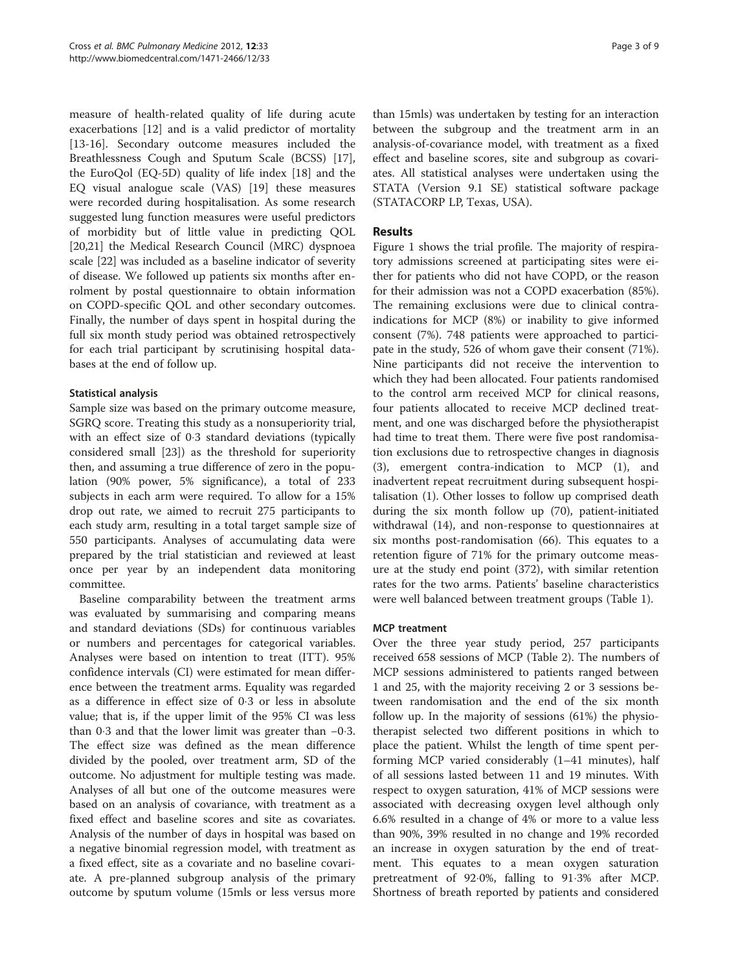measure of health-related quality of life during acute exacerbations [[12\]](#page-7-0) and is a valid predictor of mortality [[13-16](#page-7-0)]. Secondary outcome measures included the Breathlessness Cough and Sputum Scale (BCSS) [\[17](#page-7-0)], the EuroQol (EQ-5D) quality of life index [[18](#page-7-0)] and the EQ visual analogue scale (VAS) [\[19](#page-7-0)] these measures were recorded during hospitalisation. As some research suggested lung function measures were useful predictors of morbidity but of little value in predicting QOL [[20,21\]](#page-7-0) the Medical Research Council (MRC) dyspnoea scale [\[22](#page-7-0)] was included as a baseline indicator of severity of disease. We followed up patients six months after enrolment by postal questionnaire to obtain information on COPD-specific QOL and other secondary outcomes. Finally, the number of days spent in hospital during the full six month study period was obtained retrospectively for each trial participant by scrutinising hospital databases at the end of follow up.

## Statistical analysis

Sample size was based on the primary outcome measure, SGRQ score. Treating this study as a nonsuperiority trial, with an effect size of 0.3 standard deviations (typically considered small [\[23\]](#page-7-0)) as the threshold for superiority then, and assuming a true difference of zero in the population (90% power, 5% significance), a total of 233 subjects in each arm were required. To allow for a 15% drop out rate, we aimed to recruit 275 participants to each study arm, resulting in a total target sample size of 550 participants. Analyses of accumulating data were prepared by the trial statistician and reviewed at least once per year by an independent data monitoring committee.

Baseline comparability between the treatment arms was evaluated by summarising and comparing means and standard deviations (SDs) for continuous variables or numbers and percentages for categorical variables. Analyses were based on intention to treat (ITT). 95% confidence intervals (CI) were estimated for mean difference between the treatment arms. Equality was regarded as a difference in effect size of 03 or less in absolute value; that is, if the upper limit of the 95% CI was less than 03 and that the lower limit was greater than −03. The effect size was defined as the mean difference divided by the pooled, over treatment arm, SD of the outcome. No adjustment for multiple testing was made. Analyses of all but one of the outcome measures were based on an analysis of covariance, with treatment as a fixed effect and baseline scores and site as covariates. Analysis of the number of days in hospital was based on a negative binomial regression model, with treatment as a fixed effect, site as a covariate and no baseline covariate. A pre-planned subgroup analysis of the primary outcome by sputum volume (15mls or less versus more than 15mls) was undertaken by testing for an interaction between the subgroup and the treatment arm in an analysis-of-covariance model, with treatment as a fixed effect and baseline scores, site and subgroup as covariates. All statistical analyses were undertaken using the STATA (Version 9.1 SE) statistical software package (STATACORP LP, Texas, USA).

## Results

Figure [1](#page-3-0) shows the trial profile. The majority of respiratory admissions screened at participating sites were either for patients who did not have COPD, or the reason for their admission was not a COPD exacerbation (85%). The remaining exclusions were due to clinical contraindications for MCP (8%) or inability to give informed consent (7%). 748 patients were approached to participate in the study, 526 of whom gave their consent (71%). Nine participants did not receive the intervention to which they had been allocated. Four patients randomised to the control arm received MCP for clinical reasons, four patients allocated to receive MCP declined treatment, and one was discharged before the physiotherapist had time to treat them. There were five post randomisation exclusions due to retrospective changes in diagnosis (3), emergent contra-indication to MCP (1), and inadvertent repeat recruitment during subsequent hospitalisation (1). Other losses to follow up comprised death during the six month follow up (70), patient-initiated withdrawal (14), and non-response to questionnaires at six months post-randomisation (66). This equates to a retention figure of 71% for the primary outcome measure at the study end point (372), with similar retention rates for the two arms. Patients' baseline characteristics were well balanced between treatment groups (Table [1\)](#page-4-0).

## MCP treatment

Over the three year study period, 257 participants received 658 sessions of MCP (Table [2\)](#page-5-0). The numbers of MCP sessions administered to patients ranged between 1 and 25, with the majority receiving 2 or 3 sessions between randomisation and the end of the six month follow up. In the majority of sessions (61%) the physiotherapist selected two different positions in which to place the patient. Whilst the length of time spent performing MCP varied considerably (1–41 minutes), half of all sessions lasted between 11 and 19 minutes. With respect to oxygen saturation, 41% of MCP sessions were associated with decreasing oxygen level although only 6.6% resulted in a change of 4% or more to a value less than 90%, 39% resulted in no change and 19% recorded an increase in oxygen saturation by the end of treatment. This equates to a mean oxygen saturation pretreatment of 920%, falling to 913% after MCP. Shortness of breath reported by patients and considered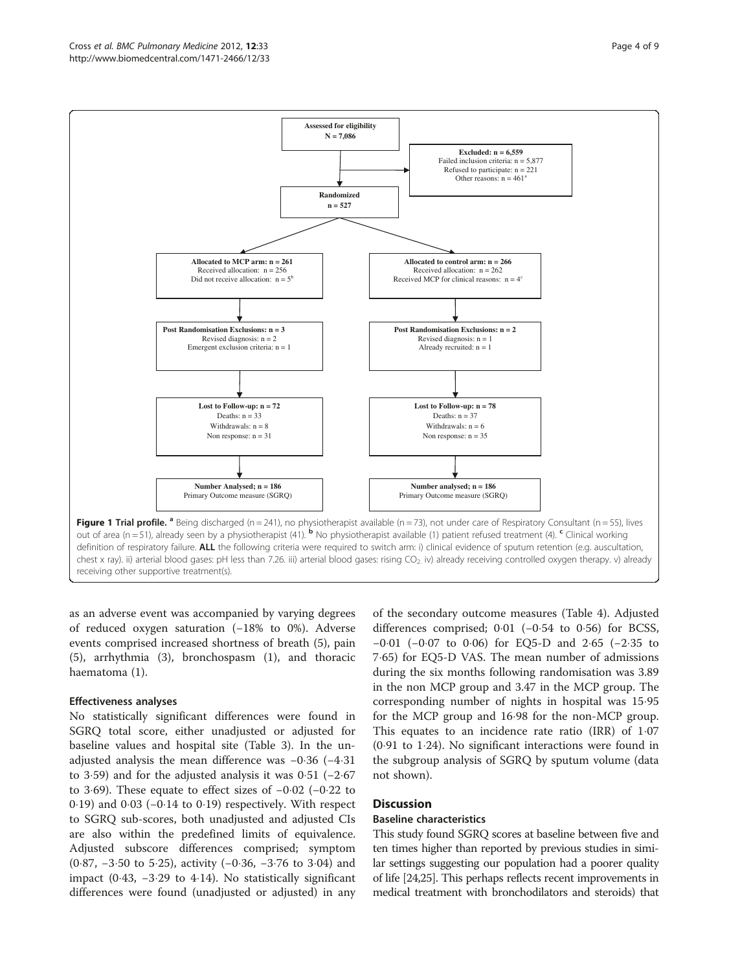<span id="page-3-0"></span>

as an adverse event was accompanied by varying degrees of reduced oxygen saturation (−18% to 0%). Adverse events comprised increased shortness of breath (5), pain (5), arrhythmia (3), bronchospasm (1), and thoracic haematoma (1).

## Effectiveness analyses

No statistically significant differences were found in SGRQ total score, either unadjusted or adjusted for baseline values and hospital site (Table [3\)](#page-6-0). In the unadjusted analysis the mean difference was −036 (−431 to 3.59) and for the adjusted analysis it was  $0.51$  (-2.67 to 369). These equate to effect sizes of −002 (−022 to 019) and 003 (−014 to 019) respectively. With respect to SGRQ sub-scores, both unadjusted and adjusted CIs are also within the predefined limits of equivalence. Adjusted subscore differences comprised; symptom  $(0.87, -3.50 \text{ to } 5.25)$ , activity  $(-0.36, -3.76 \text{ to } 3.04)$  and impact (0.43,  $-3.29$  to 4.14). No statistically significant differences were found (unadjusted or adjusted) in any

of the secondary outcome measures (Table [4\)](#page-6-0). Adjusted differences comprised;  $0.01$  (- $0.54$  to  $0.56$ ) for BCSS, −001 (−007 to 006) for EQ5-D and 265 (−235 to 765) for EQ5-D VAS. The mean number of admissions during the six months following randomisation was 3.89 in the non MCP group and 3.47 in the MCP group. The corresponding number of nights in hospital was 15.95 for the MCP group and 1698 for the non-MCP group. This equates to an incidence rate ratio (IRR) of  $1.07$  $(0.91 \text{ to } 1.24)$ . No significant interactions were found in the subgroup analysis of SGRQ by sputum volume (data not shown).

## **Discussion**

## Baseline characteristics

This study found SGRQ scores at baseline between five and ten times higher than reported by previous studies in similar settings suggesting our population had a poorer quality of life [\[24,25](#page-7-0)]. This perhaps reflects recent improvements in medical treatment with bronchodilators and steroids) that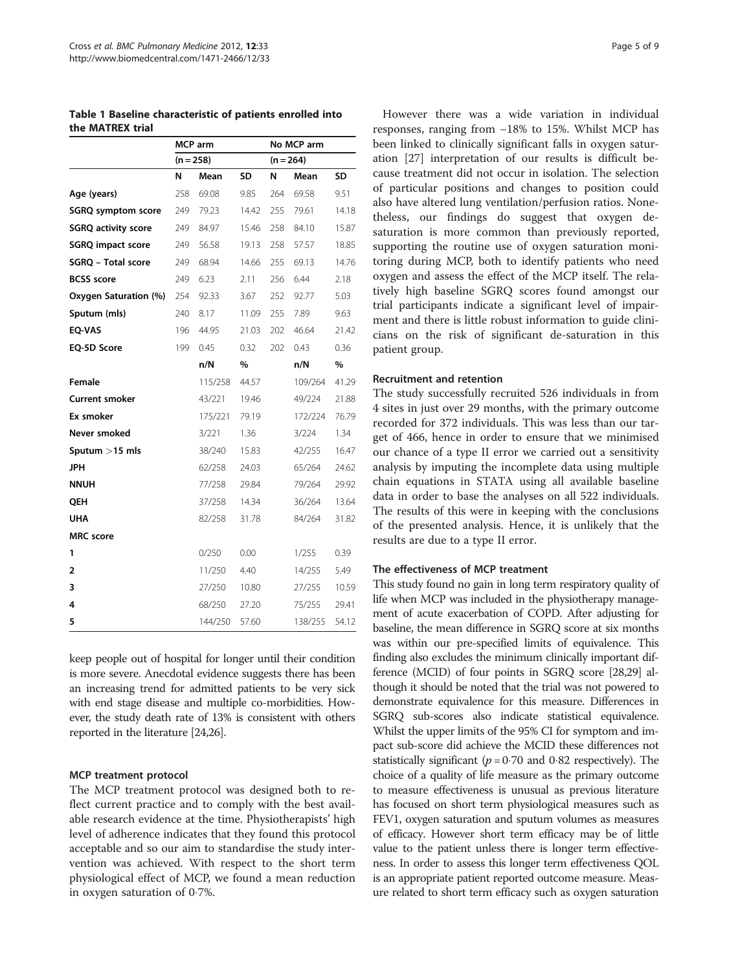<span id="page-4-0"></span>Table 1 Baseline characteristic of patients enrolled into the MATREX trial

|                            |             | MCP arm |       | No MCP arm |             |       |  |
|----------------------------|-------------|---------|-------|------------|-------------|-------|--|
|                            | $(n = 258)$ |         |       |            | $(n = 264)$ |       |  |
|                            | N           | Mean    | SD    | N          | Mean        | SD    |  |
| Age (years)                | 258         | 69.08   | 9.85  | 264        | 69.58       | 9.51  |  |
| <b>SGRQ symptom score</b>  | 249         | 79.23   | 14.42 | 255        | 79.61       | 14.18 |  |
| <b>SGRQ activity score</b> | 249         | 84.97   | 15.46 | 258        | 84.10       | 15.87 |  |
| <b>SGRQ</b> impact score   | 249         | 56.58   | 19.13 | 258        | 57.57       | 18.85 |  |
| SGRQ - Total score         | 249         | 68.94   | 14.66 | 255        | 69.13       | 14.76 |  |
| <b>BCSS</b> score          | 249         | 6.23    | 2.11  | 256        | 6.44        | 2.18  |  |
| Oxygen Saturation (%)      | 254         | 92.33   | 3.67  | 252        | 92.77       | 5.03  |  |
| Sputum (mls)               | 240         | 8.17    | 11.09 | 255        | 7.89        | 9.63  |  |
| EQ-VAS                     | 196         | 44.95   | 21.03 | 202        | 46.64       | 21.42 |  |
| EQ-5D Score                | 199         | 0.45    | 0.32  | 202        | 0.43        | 0.36  |  |
|                            |             | n/N     | %     |            | n/N         | %     |  |
| Female                     |             | 115/258 | 44.57 |            | 109/264     | 41.29 |  |
| <b>Current smoker</b>      |             | 43/221  | 19.46 |            | 49/224      | 21.88 |  |
| Ex smoker                  |             | 175/221 | 79.19 |            | 172/224     | 76.79 |  |
| Never smoked               |             | 3/221   | 1.36  |            | 3/224       | 1.34  |  |
| Sputum $>15$ mls           |             | 38/240  | 15.83 |            | 42/255      | 16.47 |  |
| JPH                        |             | 62/258  | 24.03 |            | 65/264      | 24.62 |  |
| <b>NNUH</b>                |             | 77/258  | 29.84 |            | 79/264      | 29.92 |  |
| QEH                        |             | 37/258  | 14.34 |            | 36/264      | 13.64 |  |
| <b>UHA</b>                 |             | 82/258  | 31.78 |            | 84/264      | 31.82 |  |
| <b>MRC</b> score           |             |         |       |            |             |       |  |
| 1                          |             | 0/250   | 0.00  |            | 1/255       | 0.39  |  |
| 2                          |             | 11/250  | 4.40  |            | 14/255      | 5.49  |  |
| 3                          |             | 27/250  | 10.80 |            | 27/255      | 10.59 |  |
| 4                          |             | 68/250  | 27.20 |            | 75/255      | 29.41 |  |
| 5                          |             | 144/250 | 57.60 |            | 138/255     | 54.12 |  |

keep people out of hospital for longer until their condition is more severe. Anecdotal evidence suggests there has been an increasing trend for admitted patients to be very sick with end stage disease and multiple co-morbidities. However, the study death rate of 13% is consistent with others reported in the literature [\[24,26\]](#page-7-0).

#### MCP treatment protocol

The MCP treatment protocol was designed both to reflect current practice and to comply with the best available research evidence at the time. Physiotherapists' high level of adherence indicates that they found this protocol acceptable and so our aim to standardise the study intervention was achieved. With respect to the short term physiological effect of MCP, we found a mean reduction in oxygen saturation of 07%.

However there was a wide variation in individual responses, ranging from −18% to 15%. Whilst MCP has been linked to clinically significant falls in oxygen saturation [[27\]](#page-8-0) interpretation of our results is difficult because treatment did not occur in isolation. The selection of particular positions and changes to position could also have altered lung ventilation/perfusion ratios. Nonetheless, our findings do suggest that oxygen desaturation is more common than previously reported, supporting the routine use of oxygen saturation monitoring during MCP, both to identify patients who need oxygen and assess the effect of the MCP itself. The relatively high baseline SGRQ scores found amongst our trial participants indicate a significant level of impairment and there is little robust information to guide clinicians on the risk of significant de-saturation in this patient group.

## Recruitment and retention

The study successfully recruited 526 individuals in from 4 sites in just over 29 months, with the primary outcome recorded for 372 individuals. This was less than our target of 466, hence in order to ensure that we minimised our chance of a type II error we carried out a sensitivity analysis by imputing the incomplete data using multiple chain equations in STATA using all available baseline data in order to base the analyses on all 522 individuals. The results of this were in keeping with the conclusions of the presented analysis. Hence, it is unlikely that the results are due to a type II error.

## The effectiveness of MCP treatment

This study found no gain in long term respiratory quality of life when MCP was included in the physiotherapy management of acute exacerbation of COPD. After adjusting for baseline, the mean difference in SGRQ score at six months was within our pre-specified limits of equivalence. This finding also excludes the minimum clinically important difference (MCID) of four points in SGRQ score [[28,29](#page-8-0)] although it should be noted that the trial was not powered to demonstrate equivalence for this measure. Differences in SGRQ sub-scores also indicate statistical equivalence. Whilst the upper limits of the 95% CI for symptom and impact sub-score did achieve the MCID these differences not statistically significant ( $p = 0.70$  and 0.82 respectively). The choice of a quality of life measure as the primary outcome to measure effectiveness is unusual as previous literature has focused on short term physiological measures such as FEV1, oxygen saturation and sputum volumes as measures of efficacy. However short term efficacy may be of little value to the patient unless there is longer term effectiveness. In order to assess this longer term effectiveness QOL is an appropriate patient reported outcome measure. Measure related to short term efficacy such as oxygen saturation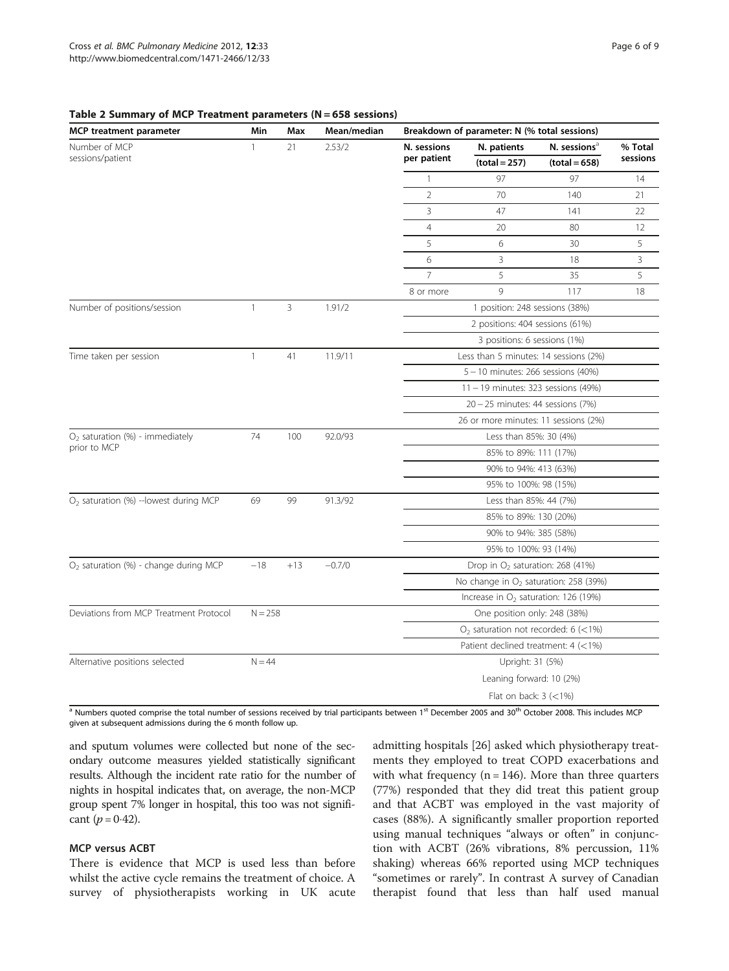#### <span id="page-5-0"></span>Table 2 Summary of MCP Treatment parameters (N = 658 sessions)

| MCP treatment parameter                           | Min          | Max   | Mean/median | Breakdown of parameter: N (% total sessions) |                                                   |                          |          |  |  |  |
|---------------------------------------------------|--------------|-------|-------------|----------------------------------------------|---------------------------------------------------|--------------------------|----------|--|--|--|
| Number of MCP                                     | $\mathbf{1}$ | 21    | 2.53/2      | N. sessions                                  | N. patients                                       | N. sessions <sup>a</sup> | % Total  |  |  |  |
| sessions/patient                                  |              |       |             | per patient                                  | $(total = 257)$                                   | $(total = 658)$          | sessions |  |  |  |
|                                                   |              |       |             | 1                                            | 97                                                | 97                       | 14       |  |  |  |
|                                                   |              |       |             | $\overline{2}$                               | 70                                                | 140                      | 21       |  |  |  |
|                                                   |              |       |             | 3                                            | 47                                                | 141                      | 22       |  |  |  |
|                                                   |              |       |             | $\overline{4}$                               | 20                                                | 80                       | 12       |  |  |  |
|                                                   |              |       |             | 5                                            | 6                                                 | 30                       | 5        |  |  |  |
|                                                   |              |       |             | 6                                            | 3                                                 | 18                       | 3        |  |  |  |
|                                                   |              |       |             | $\overline{7}$                               | 5                                                 | 35                       | 5        |  |  |  |
|                                                   |              |       |             | 8 or more                                    | $\mathsf{Q}$                                      | 117                      | 18       |  |  |  |
| Number of positions/session                       | $\mathbf{1}$ | 3     | 1.91/2      | 1 position: 248 sessions (38%)               |                                                   |                          |          |  |  |  |
|                                                   |              |       |             | 2 positions: 404 sessions (61%)              |                                                   |                          |          |  |  |  |
|                                                   |              |       |             |                                              | 3 positions: 6 sessions (1%)                      |                          |          |  |  |  |
| Time taken per session                            | $\mathbf{1}$ | 41    | 11.9/11     | Less than 5 minutes: 14 sessions (2%)        |                                                   |                          |          |  |  |  |
|                                                   |              |       |             | 5-10 minutes: 266 sessions (40%)             |                                                   |                          |          |  |  |  |
|                                                   |              |       |             | 11 - 19 minutes: 323 sessions (49%)          |                                                   |                          |          |  |  |  |
|                                                   |              |       |             | $20 - 25$ minutes: 44 sessions (7%)          |                                                   |                          |          |  |  |  |
|                                                   |              |       |             |                                              | 26 or more minutes: 11 sessions (2%)              |                          |          |  |  |  |
| $O2$ saturation (%) - immediately                 | 74           | 100   | 92.0/93     | Less than 85%: 30 (4%)                       |                                                   |                          |          |  |  |  |
| prior to MCP                                      |              |       |             | 85% to 89%: 111 (17%)                        |                                                   |                          |          |  |  |  |
|                                                   |              |       |             | 90% to 94%: 413 (63%)                        |                                                   |                          |          |  |  |  |
|                                                   |              |       |             |                                              | 95% to 100%: 98 (15%)                             |                          |          |  |  |  |
| $O2$ saturation (%) --lowest during MCP           | 69           | 99    | 91.3/92     |                                              | Less than 85%: 44 (7%)                            |                          |          |  |  |  |
|                                                   |              |       |             |                                              | 85% to 89%: 130 (20%)                             |                          |          |  |  |  |
|                                                   |              |       |             |                                              | 90% to 94%: 385 (58%)                             |                          |          |  |  |  |
|                                                   |              |       |             |                                              | 95% to 100%: 93 (14%)                             |                          |          |  |  |  |
| O <sub>2</sub> saturation (%) - change during MCP | $-18$        | $+13$ | $-0.7/0$    |                                              | Drop in $O_2$ saturation: 268 (41%)               |                          |          |  |  |  |
|                                                   |              |       |             |                                              | No change in O <sub>2</sub> saturation: 258 (39%) |                          |          |  |  |  |
|                                                   |              |       |             |                                              | Increase in $O2$ saturation: 126 (19%)            |                          |          |  |  |  |
| Deviations from MCP Treatment Protocol            | $N = 258$    |       |             |                                              | One position only: 248 (38%)                      |                          |          |  |  |  |
|                                                   |              |       |             | $O2$ saturation not recorded: 6 (<1%)        |                                                   |                          |          |  |  |  |
|                                                   |              |       |             |                                              | Patient declined treatment: 4 (<1%)               |                          |          |  |  |  |
| Alternative positions selected                    | $N = 44$     |       |             |                                              | Upright: 31 (5%)                                  |                          |          |  |  |  |
|                                                   |              |       |             |                                              | Leaning forward: 10 (2%)                          |                          |          |  |  |  |
|                                                   |              |       |             |                                              | Flat on back: $3$ (<1%)                           |                          |          |  |  |  |

<sup>a</sup> Numbers quoted comprise the total number of sessions received by trial participants between 1<sup>st</sup> December 2005 and 30<sup>th</sup> October 2008. This includes MCP given at subsequent admissions during the 6 month follow up.

and sputum volumes were collected but none of the secondary outcome measures yielded statistically significant results. Although the incident rate ratio for the number of nights in hospital indicates that, on average, the non-MCP group spent 7% longer in hospital, this too was not significant  $(p = 0.42)$ .

## MCP versus ACBT

There is evidence that MCP is used less than before whilst the active cycle remains the treatment of choice. A survey of physiotherapists working in UK acute admitting hospitals [[26](#page-7-0)] asked which physiotherapy treatments they employed to treat COPD exacerbations and with what frequency ( $n = 146$ ). More than three quarters (77%) responded that they did treat this patient group and that ACBT was employed in the vast majority of cases (88%). A significantly smaller proportion reported using manual techniques "always or often" in conjunction with ACBT (26% vibrations, 8% percussion, 11% shaking) whereas 66% reported using MCP techniques "sometimes or rarely". In contrast A survey of Canadian therapist found that less than half used manual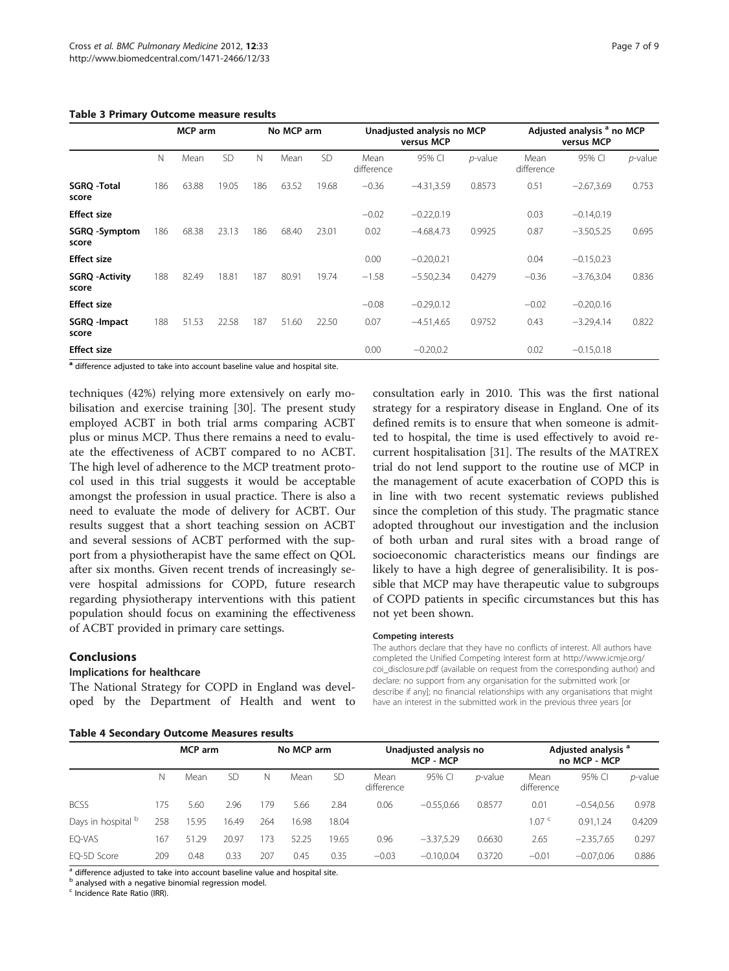<span id="page-6-0"></span>Table 3 Primary Outcome measure results

|                                | <b>MCP</b> arm |       |           |     | No MCP arm |           | Unadjusted analysis no MCP<br>versus MCP |               |            | Adjusted analysis <sup>a</sup> no MCP<br>versus MCP |               |            |
|--------------------------------|----------------|-------|-----------|-----|------------|-----------|------------------------------------------|---------------|------------|-----------------------------------------------------|---------------|------------|
|                                | N              | Mean  | <b>SD</b> | N   | Mean       | <b>SD</b> | Mean<br>difference                       | 95% CI        | $p$ -value | Mean<br>difference                                  | 95% CI        | $p$ -value |
| <b>SGRQ -Total</b><br>score    | 186            | 63.88 | 19.05     | 186 | 63.52      | 19.68     | $-0.36$                                  | $-4.31,3.59$  | 0.8573     | 0.51                                                | $-2.67,3.69$  | 0.753      |
| <b>Effect size</b>             |                |       |           |     |            |           | $-0.02$                                  | $-0.22, 0.19$ |            | 0.03                                                | $-0.14, 0.19$ |            |
| SGRQ -Symptom<br>score         | 186            | 68.38 | 23.13     | 186 | 68.40      | 23.01     | 0.02                                     | $-4.68, 4.73$ | 0.9925     | 0.87                                                | $-3.50,5.25$  | 0.695      |
| <b>Effect size</b>             |                |       |           |     |            |           | 0.00                                     | $-0.20, 0.21$ |            | 0.04                                                | $-0.15, 0.23$ |            |
| <b>SGRQ -Activity</b><br>score | 188            | 82.49 | 18.81     | 187 | 80.91      | 19.74     | $-1.58$                                  | $-5.50,2.34$  | 0.4279     | $-0.36$                                             | $-3.76,3.04$  | 0.836      |
| <b>Effect size</b>             |                |       |           |     |            |           | $-0.08$                                  | $-0.29, 0.12$ |            | $-0.02$                                             | $-0.20, 0.16$ |            |
| SGRQ - Impact<br>score         | 188            | 51.53 | 22.58     | 187 | 51.60      | 22.50     | 0.07                                     | $-4.51, 4.65$ | 0.9752     | 0.43                                                | $-3.29,4.14$  | 0.822      |
| <b>Effect size</b>             |                |       |           |     |            |           | 0.00                                     | $-0.20, 0.2$  |            | 0.02                                                | $-0.15, 0.18$ |            |

a difference adjusted to take into account baseline value and hospital site.

techniques (42%) relying more extensively on early mobilisation and exercise training [[30\]](#page-8-0). The present study employed ACBT in both trial arms comparing ACBT plus or minus MCP. Thus there remains a need to evaluate the effectiveness of ACBT compared to no ACBT. The high level of adherence to the MCP treatment protocol used in this trial suggests it would be acceptable amongst the profession in usual practice. There is also a need to evaluate the mode of delivery for ACBT. Our results suggest that a short teaching session on ACBT and several sessions of ACBT performed with the support from a physiotherapist have the same effect on QOL after six months. Given recent trends of increasingly severe hospital admissions for COPD, future research regarding physiotherapy interventions with this patient population should focus on examining the effectiveness of ACBT provided in primary care settings.

## Conclusions

#### Implications for healthcare

The National Strategy for COPD in England was developed by the Department of Health and went to

|  | <b>Table 4 Secondary Outcome Measures results</b> |  |  |  |
|--|---------------------------------------------------|--|--|--|
|--|---------------------------------------------------|--|--|--|

consultation early in 2010. This was the first national strategy for a respiratory disease in England. One of its defined remits is to ensure that when someone is admitted to hospital, the time is used effectively to avoid recurrent hospitalisation [\[31](#page-8-0)]. The results of the MATREX trial do not lend support to the routine use of MCP in the management of acute exacerbation of COPD this is in line with two recent systematic reviews published since the completion of this study. The pragmatic stance adopted throughout our investigation and the inclusion of both urban and rural sites with a broad range of socioeconomic characteristics means our findings are likely to have a high degree of generalisibility. It is possible that MCP may have therapeutic value to subgroups of COPD patients in specific circumstances but this has not yet been shown.

#### Competing interests

The authors declare that they have no conflicts of interest. All authors have completed the Unified Competing Interest form at http://www.icmje.org/ coi\_disclosure.pdf (available on request from the corresponding author) and declare: no support from any organisation for the submitted work [or describe if any]; no financial relationships with any organisations that might have an interest in the submitted work in the previous three years [or

|                    | MCP arm |       |           |     | No MCP arm |           |                    | Unadjusted analysis no<br>MCP - MCP |                 | Adjusted analysis <sup>a</sup><br>no MCP - MCP |              |         |
|--------------------|---------|-------|-----------|-----|------------|-----------|--------------------|-------------------------------------|-----------------|------------------------------------------------|--------------|---------|
|                    | N       | Mean  | <b>SD</b> | N   | Mean       | <b>SD</b> | Mean<br>difference | 95% CI                              | <i>p</i> -value | Mean<br>difference                             | 95% CI       | p-value |
| <b>BCSS</b>        | 175     | 5.60  | 2.96      | 79  | 5.66       | 2.84      | 0.06               | $-0.55.0.66$                        | 0.8577          | 0.01                                           | $-0.54.0.56$ | 0.978   |
| Days in hospital b | 258     | 15.95 | 16.49     | 264 | 16.98      | 18.04     |                    |                                     |                 | $1.07$ $\degree$                               | 0.91.1.24    | 0.4209  |
| EQ-VAS             | 167     | 51.29 | 20.97     | 73  | 52.25      | 19.65     | 0.96               | $-3.37.5.29$                        | 0.6630          | 2.65                                           | $-2.35.7.65$ | 0.297   |
| EQ-5D Score        | 209     | 0.48  | 0.33      | 207 | 0.45       | 0.35      | $-0.03$            | $-0.10.0.04$                        | 0.3720          | $-0.01$                                        | $-0.07,0.06$ | 0.886   |

<sup>a</sup> difference adjusted to take into account baseline value and hospital site.

<sup>b</sup> analysed with a negative binomial regression model.

<sup>c</sup> Incidence Rate Ratio (IRR).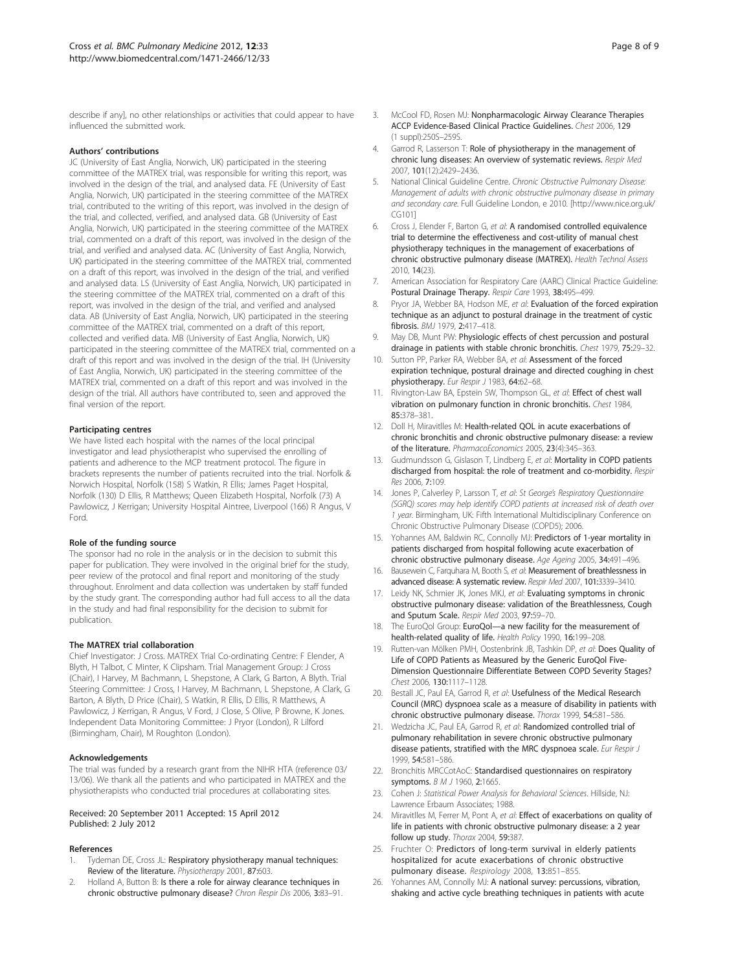<span id="page-7-0"></span>describe if any], no other relationships or activities that could appear to have influenced the submitted work.

#### Authors' contributions

JC (University of East Anglia, Norwich, UK) participated in the steering committee of the MATREX trial, was responsible for writing this report, was involved in the design of the trial, and analysed data. FE (University of East Anglia, Norwich, UK) participated in the steering committee of the MATREX trial, contributed to the writing of this report, was involved in the design of the trial, and collected, verified, and analysed data. GB (University of East Anglia, Norwich, UK) participated in the steering committee of the MATREX trial, commented on a draft of this report, was involved in the design of the trial, and verified and analysed data. AC (University of East Anglia, Norwich, UK) participated in the steering committee of the MATREX trial, commented on a draft of this report, was involved in the design of the trial, and verified and analysed data. LS (University of East Anglia, Norwich, UK) participated in the steering committee of the MATREX trial, commented on a draft of this report, was involved in the design of the trial, and verified and analysed data. AB (University of East Anglia, Norwich, UK) participated in the steering committee of the MATREX trial, commented on a draft of this report, collected and verified data. MB (University of East Anglia, Norwich, UK) participated in the steering committee of the MATREX trial, commented on a draft of this report and was involved in the design of the trial. IH (University of East Anglia, Norwich, UK) participated in the steering committee of the MATREX trial, commented on a draft of this report and was involved in the design of the trial. All authors have contributed to, seen and approved the final version of the report.

#### Participating centres

We have listed each hospital with the names of the local principal investigator and lead physiotherapist who supervised the enrolling of patients and adherence to the MCP treatment protocol. The figure in brackets represents the number of patients recruited into the trial. Norfolk & Norwich Hospital, Norfolk (158) S Watkin, R Ellis; James Paget Hospital, Norfolk (130) D Ellis, R Matthews; Queen Elizabeth Hospital, Norfolk (73) A Pawlowicz, J Kerrigan; University Hospital Aintree, Liverpool (166) R Angus, V Ford.

#### Role of the funding source

The sponsor had no role in the analysis or in the decision to submit this paper for publication. They were involved in the original brief for the study, peer review of the protocol and final report and monitoring of the study throughout. Enrolment and data collection was undertaken by staff funded by the study grant. The corresponding author had full access to all the data in the study and had final responsibility for the decision to submit for publication.

#### The MATREX trial collaboration

Chief Investigator: J Cross. MATREX Trial Co-ordinating Centre: F Elender, A Blyth, H Talbot, C Minter, K Clipsham. Trial Management Group: J Cross (Chair), I Harvey, M Bachmann, L Shepstone, A Clark, G Barton, A Blyth. Trial Steering Committee: J Cross, I Harvey, M Bachmann, L Shepstone, A Clark, G Barton, A Blyth, D Price (Chair), S Watkin, R Ellis, D Ellis, R Matthews, A Pawlowicz, J Kerrigan, R Angus, V Ford, J Close, S Olive, P Browne, K Jones. Independent Data Monitoring Committee: J Pryor (London), R Lilford (Birmingham, Chair), M Roughton (London).

#### Acknowledgements

The trial was funded by a research grant from the NIHR HTA (reference 03/ 13/06). We thank all the patients and who participated in MATREX and the physiotherapists who conducted trial procedures at collaborating sites.

#### Received: 20 September 2011 Accepted: 15 April 2012 Published: 2 July 2012

#### References

- 1. Tydeman DE, Cross JL: Respiratory physiotherapy manual techniques: Review of the literature. Physiotherapy 2001, 87:603.
- 2. Holland A, Button B: Is there a role for airway clearance techniques in chronic obstructive pulmonary disease? Chron Respir Dis 2006, 3:83–91.
- 3. McCool FD, Rosen MJ: Nonpharmacologic Airway Clearance Therapies ACCP Evidence-Based Clinical Practice Guidelines. Chest 2006, 129 (1 suppl):250S–259S.
- Garrod R, Lasserson T: Role of physiotherapy in the management of chronic lung diseases: An overview of systematic reviews. Respir Med 2007, 101(12):2429–2436.
- 5. National Clinical Guideline Centre. Chronic Obstructive Pulmonary Disease: Management of adults with chronic obstructive pulmonary disease in primary and secondary care. Full Guideline London, e 2010. [[http://www.nice.org.uk/](http://www.nice.org.uk/CG101) [CG101](http://www.nice.org.uk/CG101)]
- Cross J, Elender F, Barton G, et al: A randomised controlled equivalence trial to determine the effectiveness and cost-utility of manual chest physiotherapy techniques in the management of exacerbations of chronic obstructive pulmonary disease (MATREX). Health Technol Assess 2010, 14(23).
- 7. American Association for Respiratory Care (AARC) Clinical Practice Guideline: Postural Drainage Therapy. Respir Care 1993, 38:495-499.
- Pryor JA, Webber BA, Hodson ME, et al: Evaluation of the forced expiration technique as an adjunct to postural drainage in the treatment of cystic fibrosis. BMJ 1979, 2:417–418.
- 9. May DB, Munt PW: Physiologic effects of chest percussion and postural drainage in patients with stable chronic bronchitis. Chest 1979, 75:29–32.
- 10. Sutton PP, Parker RA, Webber BA, et al: Assessment of the forced expiration technique, postural drainage and directed coughing in chest physiotherapy. Eur Respir J 1983, 64:62-68.
- 11. Rivington-Law BA, Epstein SW, Thompson GL, et al: Effect of chest wall vibration on pulmonary function in chronic bronchitis. Chest 1984, 85:378–381.
- 12. Doll H, Miravitlles M: Health-related QOL in acute exacerbations of chronic bronchitis and chronic obstructive pulmonary disease: a review of the literature. PharmacoEconomics 2005, 23(4):345–363.
- 13. Gudmundsson G, Gislason T, Lindberg E, et al: Mortality in COPD patients discharged from hospital: the role of treatment and co-morbidity. Respir Res 2006, 7:109.
- 14. Jones P, Calverley P, Larsson T, et al: St George's Respiratory Questionnaire (SGRQ) scores may help identify COPD patients at increased risk of death over 1 year. Birmingham, UK: Fifth International Multidisciplinary Conference on Chronic Obstructive Pulmonary Disease (COPD5); 2006.
- 15. Yohannes AM, Baldwin RC, Connolly MJ: Predictors of 1-year mortality in patients discharged from hospital following acute exacerbation of chronic obstructive pulmonary disease. Age Ageing 2005, 34:491–496.
- 16. Bausewein C, Farquhara M, Booth S, et al: Measurement of breathlessness in advanced disease: A systematic review. Respir Med 2007, 101:3339–3410.
- 17. Leidy NK, Schmier JK, Jones MKJ, et al: Evaluating symptoms in chronic obstructive pulmonary disease: validation of the Breathlessness, Cough and Sputum Scale. Respir Med 2003, 97:59–70.
- 18. The EuroQol Group: EuroQol-a new facility for the measurement of health-related quality of life. Health Policy 1990, 16:199–208.
- 19. Rutten-van Mölken PMH, Oostenbrink JB, Tashkin DP, et al: Does Quality of Life of COPD Patients as Measured by the Generic EuroQol Five-Dimension Questionnaire Differentiate Between COPD Severity Stages? Chest 2006, 130:1117–1128.
- 20. Bestall JC, Paul EA, Garrod R, et al: Usefulness of the Medical Research Council (MRC) dyspnoea scale as a measure of disability in patients with chronic obstructive pulmonary disease. Thorax 1999, 54:581–586.
- 21. Wedzicha JC, Paul EA, Garrod R, et al: Randomized controlled trial of pulmonary rehabilitation in severe chronic obstructive pulmonary disease patients, stratified with the MRC dyspnoea scale. Eur Respir J 1999, 54:581–586.
- 22. Bronchitis MRCCotAoC: Standardised questionnaires on respiratory symptoms. B M J 1960, 2:1665
- 23. Cohen J: Statistical Power Analysis for Behavioral Sciences. Hillside, NJ: Lawrence Erbaum Associates; 1988.
- 24. Miravitlles M, Ferrer M, Pont A, et al: Effect of exacerbations on quality of life in patients with chronic obstructive pulmonary disease: a 2 year follow up study. Thorax 2004, 59:387.
- 25. Fruchter O: Predictors of long-term survival in elderly patients hospitalized for acute exacerbations of chronic obstructive pulmonary disease. Respirology 2008, 13:851–855.
- 26. Yohannes AM, Connolly MJ: A national survey: percussions, vibration, shaking and active cycle breathing techniques in patients with acute